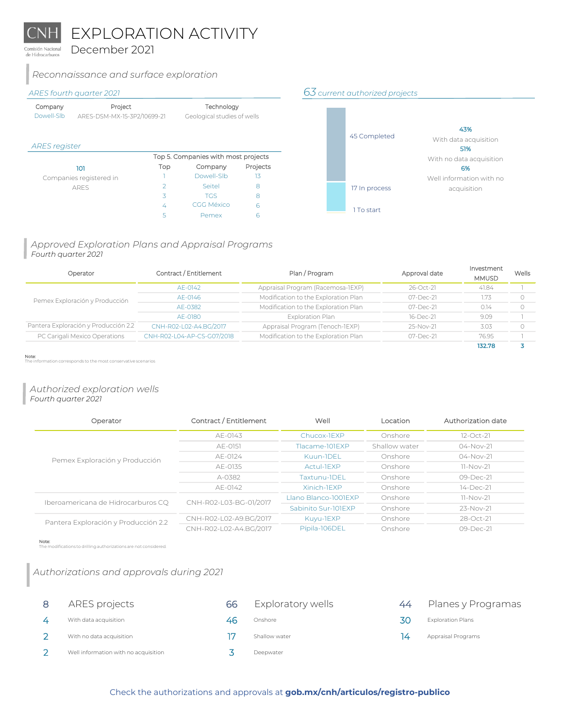EXPLORATION ACTIVITY

December 2021 de Hidrocarburos

## *Reconnaissance and surface exploration*

| Company    | Project                     | Technology                  |
|------------|-----------------------------|-----------------------------|
| Dowell-Slb | ARES-DSM-MX-15-3P2/10699-21 | Geological studies of wells |

## *ARES register*

|                         | Top 5. Companies with most projects |            |          |  |
|-------------------------|-------------------------------------|------------|----------|--|
| 101                     | Top                                 | Company    | Projects |  |
| Companies registered in |                                     | Dowell-Slb |          |  |
| <b>ARFS</b>             | っ                                   | Seitel     | 8        |  |
|                         | 3                                   | <b>TGS</b> | 8        |  |
|                         | 4                                   | CGG México | h        |  |
|                         | ς                                   | Pemex      |          |  |

## *ARES fourth quarter 2021 63 current authorized projects*



## *Approved Exploration Plans and Appraisal Programs Fourth quarter 2021*

| Operator                             | Contract / Entitlement     | Plan / Program                       | Approval date | Investment<br><b>MMUSD</b> | Wells |
|--------------------------------------|----------------------------|--------------------------------------|---------------|----------------------------|-------|
|                                      | AE-0142                    | Appraisal Program (Racemosa-IEXP)    | 26-Oct-21     | 41.84                      |       |
| Pemex Exploración y Producción       | AE-0146                    | Modification to the Exploration Plan | 07-Dec-21     | 1.73                       |       |
|                                      | AE-0382                    | Modification to the Exploration Plan | 07-Dec-21     | 0.14                       |       |
|                                      | AE-0180                    | Exploration Plan                     | 16-Dec-21     | 9.09                       |       |
| Pantera Exploración y Producción 2.2 | CNH-R02-L02-A4.BG/2017     | Appraisal Program (Tenoch-IEXP)      | 25-Nov-21     | 3.03                       |       |
| PC Carigali Mexico Operations        | CNH-R02-L04-AP-CS-G07/2018 | Modification to the Exploration Plan | 07-Dec-21     | 76.95                      |       |
|                                      |                            |                                      |               | 132.78                     |       |

Note:

ormation corresponds to the most conservative scenarios

## *Authorized exploration wells Fourth quarter 2021*

| Contract / Entitlement<br>Operator   |                        | Well                 | Location      | Authorization date |
|--------------------------------------|------------------------|----------------------|---------------|--------------------|
|                                      | AF-0143                | Chucox-IFXP          | Onshore       | $12-Oct-21$        |
|                                      | AF-0151                | Tlacame-101FXP       | Shallow water | $04 - Nov-21$      |
| Pemex Exploración y Producción       | AE-0124                | Kuun-IDEL            | Onshore       | 04-Nov-21          |
|                                      | AE-0135                | Actul-TEXP           | Onshore       | 11-Nov-21          |
|                                      | A-0382                 | Taxtunu-IDEL         | Onshore       | 09-Dec-21          |
|                                      | AE-0142                | Xinich-IFXP          | Onshore       | 14-Dec-21          |
| Iberoamericana de Hidrocarburos CQ   | CNH-R02-L03-BG-01/2017 | Llano Blanco-1001EXP | Onshore       | 11-Nov-21          |
|                                      |                        | Sabinito Sur-101FXP  | Onshore       | $23 - Nov-21$      |
| Pantera Exploración y Producción 2.2 | CNH-R02-L02-A9.BG/2017 | Kuyu-1EXP            | Onshore       | 28-Oct-21          |
|                                      | CNH-R02-L02-A4.BG/2017 | Pípila-106DEL        | Onshore       | $09 - Dec - 21$    |

Note: nodifications to drilling authorizations are not considered.

# *Authorizations and approvals during 2021*

| ARES projects                        | 66 | Exploratory wells | 44 | Planes y Programas       |
|--------------------------------------|----|-------------------|----|--------------------------|
| With data acquisition                | 46 | Onshore           | 30 | <b>Exploration Plans</b> |
| With no data acquisition             |    | Shallow water     | 14 | Appraisal Programs       |
| Well information with no acquisition |    | Deepwater         |    |                          |

## [Check the authorizations and approvals at](https://www.gob.mx/cnh/articulos/registro-publico) **gob.mx/cnh/articulos/registro-publico**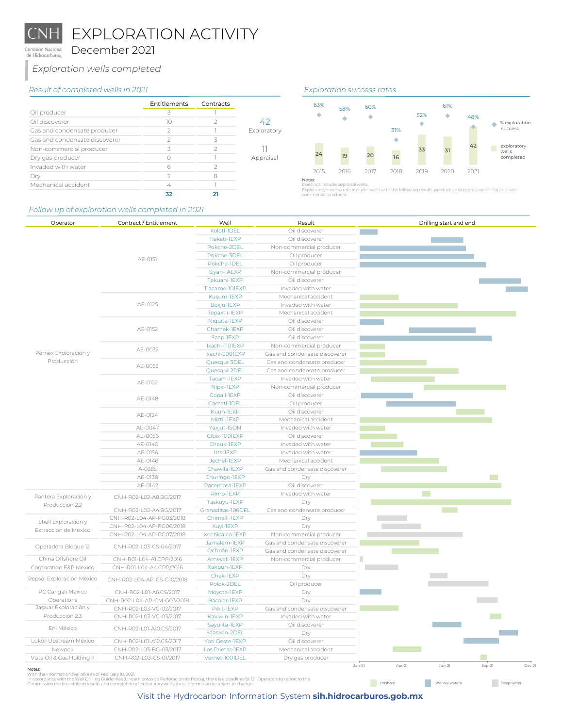EXPLORATION ACTIVITY

December 2021 Comisión Nacional de Hidrocarburos

*Exploration wells completed*

### *Result of completed wells in 2021 Exploration success rates*

|                               | Entitlements | Contracts |             |
|-------------------------------|--------------|-----------|-------------|
| Oil producer                  | ス            |           |             |
| Oil discoverer                | 10           |           | 47          |
| Gas and condensate producer   |              |           | Exploratory |
| Gas and condensate discoverer |              | ス         |             |
| Non-commercial producer       | ζ            |           |             |
| Dry gas producer              |              |           | Appraisal   |
| Invaded with water            |              |           |             |
|                               |              |           |             |
| Mechanical accident           |              |           |             |
|                               | 32           |           |             |

### *Follow up of exploration wells completed in 2021*



Exploratory success rate includes wells with the following results: producer, discoverer, successful and non-commercial producer.

**Onshore** Shallow waters Deep water

| Operator                   | Contract / Entitlement     | Well                         | Result                                   |                 |        | Drilling start and end |        |      |
|----------------------------|----------------------------|------------------------------|------------------------------------------|-----------------|--------|------------------------|--------|------|
|                            |                            | Xolotl-1DEL                  | Oil discoverer                           | <b>Contract</b> |        |                        |        |      |
|                            |                            | Tlakati-1EXP                 | Oil discoverer                           |                 |        |                        |        |      |
|                            |                            | Pokche-2DEL                  | Non-commercial producer                  |                 |        |                        |        |      |
|                            | AE-0151                    | Pokche-3DEL                  | Oil producer                             |                 |        |                        |        |      |
|                            |                            | Pokche-IDEL                  | Oil producer                             |                 |        |                        |        |      |
|                            |                            | Siyan-1AEXP                  | Non-commercial producer                  |                 |        |                        |        |      |
|                            |                            | Tekuani-1EXP                 | Oil discoverer                           |                 |        |                        |        |      |
|                            |                            | Tlacame-101EXP               | Invaded with water                       |                 |        |                        |        |      |
|                            |                            | Kusum-1EXP                   | Mechanical accident                      |                 |        |                        |        |      |
|                            | AE-0125                    | Boxju-1EXP                   | Invaded with water                       |                 |        |                        |        |      |
|                            |                            | Tepaxtli-1EXP                | Mechanical accident                      |                 |        |                        |        |      |
|                            |                            | Niquita-1EXP                 | Oil discoverer                           |                 |        |                        |        |      |
|                            | AE-0152                    | Chamak-1EXP                  | Oil discoverer                           |                 |        |                        |        |      |
|                            |                            | Saap-1EXP                    | Oil discoverer                           |                 |        |                        |        |      |
|                            |                            | Ixachi-1101EXP               | Non-commercial producer                  |                 |        |                        |        |      |
| Pemex Exploración y        | AE-0032                    | Ixachi-2001EXP               | Gas and condensate discoverer            |                 |        |                        |        |      |
| Producción                 |                            | Quesqui-3DEL                 | Gas and condensate producer              |                 |        |                        |        |      |
|                            | AE-0053                    | Quesqui-2DEL                 | Gas and condensate producer              |                 |        |                        |        |      |
|                            |                            | Tacam-IEXP                   | Invaded with water                       |                 |        |                        |        |      |
|                            | AE-0122                    | Nipxi-1EXP                   | Non-commercial producer                  |                 |        |                        |        |      |
|                            |                            | Copali-1EXP                  | Oil discoverer                           |                 |        |                        |        |      |
|                            | AE-0148                    | Camatl-1DEL                  | Oil producer                             |                 |        |                        |        |      |
|                            |                            | Kuun-1EXP                    | Oil discoverer                           |                 |        |                        |        |      |
|                            | AE-0124                    | Miztli-1EXP                  | Mechanical accident                      |                 |        |                        |        |      |
|                            | AE-0047                    |                              | Invaded with water                       |                 |        |                        |        |      |
|                            | AE-0056                    | Yaxjut-ISON<br>Cibix-1001EXP | Oil discoverer                           |                 |        |                        |        |      |
|                            | AE-0140                    | Chauk-1EXP                   |                                          |                 |        |                        |        |      |
|                            | AE-0156                    | Uts-1EXP                     | Invaded with water<br>Invaded with water |                 |        |                        |        |      |
|                            |                            | Jechel-1EXP                  | Mechanical accident                      |                 |        |                        |        |      |
|                            | AE-0146                    |                              |                                          |                 |        |                        |        |      |
|                            | A-0385                     | Chawila-1EXP                 | Gas and condensate discoverer            |                 |        |                        |        |      |
|                            | AE-0138                    | Churingo-1EXP                | Dry                                      |                 |        |                        |        |      |
|                            | AE-0142                    | Racemosa-1EXP                | Oil discoverer                           |                 |        |                        |        |      |
| Pantera Exploración y      | CNH-R02-L02-A8.BG/2017     | Rimo-1EXP                    | Invaded with water                       |                 |        |                        |        |      |
| Producción 2.2             |                            | Taskuyu-1EXP                 | Dry                                      |                 |        |                        |        |      |
|                            | CNH-R02-L02-A4.BG/2017     | Granaditas-106DEL            | Gas and condensate producer              |                 |        |                        |        |      |
| Shell Exploracion y        | CNH-R02-L04-AP-PG03/2018   | Chimalli-1EXP                | Dry                                      |                 |        |                        |        |      |
| Extraccion de Mexico       | CNH-R02-L04-AP-PG06/2018   | Xuyi-1EXP                    | Dry                                      |                 |        |                        |        |      |
|                            | CNH-R02-L04-AP-PG07/2018   | Xochicalco-IEXP              | Non-commercial producer                  |                 |        |                        |        |      |
| Operadora Bloque 12        | CNH-R02-L03-CS-04/2017     | Jamalem-IEXP                 | Gas and condensate discoverer            |                 |        |                        |        |      |
|                            |                            | Ochpán-IEXP                  | Gas and condensate discoverer            |                 |        |                        |        |      |
| China Offshore Oil         | CNH-R01-L04-A1.CPP/2016    | Ameyali-1EXP                 | Non-commercial producer                  | П               |        |                        |        |      |
| Corporation E&P Mexico     | CNH-R01-L04-A4.CPP/2016    | Xakpún-1EXP                  | Dry                                      |                 |        |                        |        |      |
| Repsol Exploración México  | CNH-R02-L04-AP-CS-G10/2018 | Chak-1EXP                    | Dry                                      |                 |        |                        |        |      |
|                            |                            | Polok-2DEL                   | Oil producer                             |                 |        |                        |        |      |
| PC Carigali Mexico         | CNH-R02-L01-A6.CS/2017     | Moyote-1EXP                  | Dry                                      |                 |        |                        |        |      |
| Operations                 | CNH-R02-L04-AP-CM-G03/2018 | Bacalar-1EXP                 | Dry                                      |                 |        |                        |        |      |
| Jaguar Exploración y       | CNH-R02-L03-VC-02/2017     | Pikit-1EXP                   | Gas and condensate discoverer            |                 |        |                        |        |      |
| Producción 2.3             | CNH-R02-L03-VC-03/2017     | Kakiwin-1EXP                 | Invaded with water                       |                 |        |                        |        |      |
| Eni México                 | CNH-R02-L01-A10.CS/2017    | Sayulita-1EXP                | Oil discoverer                           |                 |        |                        |        |      |
|                            |                            | Sáasken-2DEL                 | Dry                                      |                 |        |                        |        |      |
| Lukoil Upstream México     | CNH-R02-L01-A12.CS/2017    | Yoti Oeste-1EXP              | Oil discoverer                           |                 |        |                        |        |      |
| Newpek                     | CNH-R02-L03-BG-03/2017     | Las Prietas-IEXP             | Mechanical accident                      |                 |        |                        |        |      |
| Vista Oil & Gas Holding II | CNH-R02-L03-CS-01/2017     | Vernet-1001DEL               | Dry gas producer                         |                 |        |                        |        |      |
|                            |                            |                              |                                          | Jan-21          | Apr-21 | $Jun-21$               | Sep-21 | Dec- |

**Notes:**<br>With the information available as of February 18, 2021.<br>[In accordance with the Well Drilling Guidelines \(Lineamientos de Perforación de Pozos\), there is a deadline for Oil Operators](https://cnh.gob.mx/media/2553/compilada_lineamientos-de-perforaci%C3%B3n-de-pozos-versi%C3%B3n.pdf) to report to the<br>Commission the